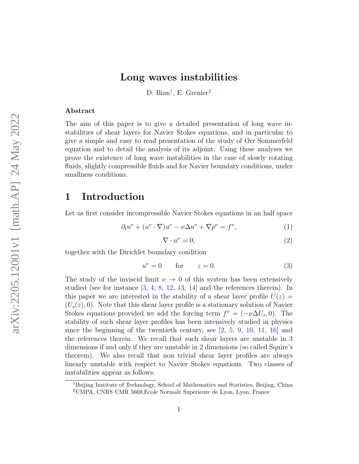# Long waves instabilities

D. Bian<sup>[1](#page-0-0)</sup>, E. Grenier<sup>[2](#page-0-1)</sup>

#### Abstract

The aim of this paper is to give a detailed presentation of long wave instabilities of shear layers for Navier Stokes equations, and in particular to give a simple and easy to read presentation of the study of Orr Sommerfeld equation and to detail the analysis of its adjoint. Using these analyses we prove the existence of long wave instabilities in the case of slowly rotating fluids, slightly compressible fluids and for Navier boundary conditions, under smallness conditions.

# 1 Introduction

Let us first consider incompressible Navier Stokes equations in an half space

$$
\partial_t u^{\nu} + (u^{\nu} \cdot \nabla) u^{\nu} - \nu \Delta u^{\nu} + \nabla p^{\nu} = f^{\nu}, \tag{1}
$$

$$
\nabla \cdot u^{\nu} = 0,\tag{2}
$$

together with the Dirichlet boundary condition

$$
u^{\nu} = 0 \qquad \text{for} \qquad z = 0. \tag{3}
$$

The study of the inviscid limit  $\nu \to 0$  of this system has been extensively studied (see for instance [\[3,](#page-24-0) [4,](#page-24-1) [8,](#page-25-0) [12,](#page-25-1) [13,](#page-25-2) [14\]](#page-25-3) and the references therein). In this paper we are interested in the stability of a shear layer profile  $U(z)$  $(U_s(z), 0)$ . Note that this shear layer profile is a stationary solution of Navier Stokes equations provided we add the forcing term  $f^{\nu} = (-\nu \Delta U_s, 0)$ . The stability of such shear layer profiles has been intensively studied in physics since the beginning of the twentieth century, see  $\left[2, 5, 9, 10, 11, 16\right]$  $\left[2, 5, 9, 10, 11, 16\right]$  $\left[2, 5, 9, 10, 11, 16\right]$  $\left[2, 5, 9, 10, 11, 16\right]$  $\left[2, 5, 9, 10, 11, 16\right]$  $\left[2, 5, 9, 10, 11, 16\right]$  $\left[2, 5, 9, 10, 11, 16\right]$  $\left[2, 5, 9, 10, 11, 16\right]$  $\left[2, 5, 9, 10, 11, 16\right]$  $\left[2, 5, 9, 10, 11, 16\right]$  $\left[2, 5, 9, 10, 11, 16\right]$  and the references therein. We recall that such shear layers are unstable in 3 dimensions if and only if they are unstable in 2 dimensions (so called Squire's theorem). We also recall that non trivial shear layer profiles are always linearly unstable with respect to Navier Stokes equations. Two classes of instabilities appear as follows:

<span id="page-0-1"></span><span id="page-0-0"></span><sup>&</sup>lt;sup>1</sup>Beijing Institute of Technology, School of Mathematics and Statistics, Beijing, China <sup>2</sup>UMPA, CNRS UMR 5669, Ecole Normale Supérieure de Lyon, Lyon, France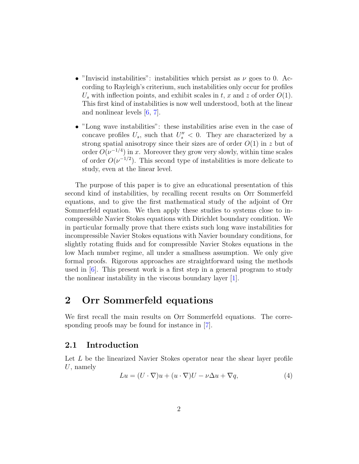- "Inviscid instabilities": instabilities which persist as  $\nu$  goes to 0. According to Rayleigh's criterium, such instabilities only occur for profiles  $U_s$  with inflection points, and exhibit scales in t, x and z of order  $O(1)$ . This first kind of instabilities is now well understood, both at the linear and nonlinear levels [\[6,](#page-24-4) [7\]](#page-24-5).
- "Long wave instabilities": these instabilities arise even in the case of concave profiles  $U_s$ , such that  $U_s'' < 0$ . They are characterized by a strong spatial anisotropy since their sizes are of order  $O(1)$  in z but of order  $O(\nu^{-1/4})$  in x. Moreover they grow very slowly, within time scales of order  $O(\nu^{-1/2})$ . This second type of instabilities is more delicate to study, even at the linear level.

The purpose of this paper is to give an educational presentation of this second kind of instabilities, by recalling recent results on Orr Sommerfeld equations, and to give the first mathematical study of the adjoint of Orr Sommerfeld equation. We then apply these studies to systems close to incompressible Navier Stokes equations with Dirichlet boundary condition. We in particular formally prove that there exists such long wave instabilities for incompressible Navier Stokes equations with Navier boundary conditions, for slightly rotating fluids and for compressible Navier Stokes equations in the low Mach number regime, all under a smallness assumption. We only give formal proofs. Rigorous approaches are straightforward using the methods used in [\[6\]](#page-24-4). This present work is a first step in a general program to study the nonlinear instability in the viscous boundary layer [\[1\]](#page-24-6).

# 2 Orr Sommerfeld equations

We first recall the main results on Orr Sommerfeld equations. The corresponding proofs may be found for instance in [\[7\]](#page-24-5).

## 2.1 Introduction

Let L be the linearized Navier Stokes operator near the shear layer profile  $U$ , namely

$$
Lu = (U \cdot \nabla)u + (u \cdot \nabla)U - \nu \Delta u + \nabla q,\tag{4}
$$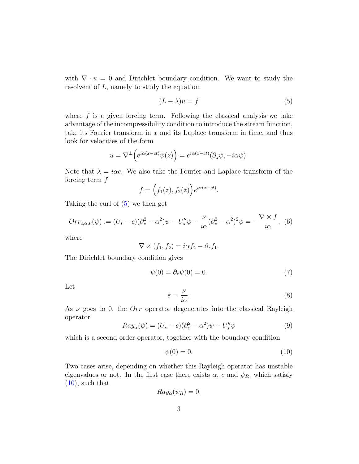with  $\nabla \cdot u = 0$  and Dirichlet boundary condition. We want to study the resolvent of  $L$ , namely to study the equation

<span id="page-2-0"></span>
$$
(L - \lambda)u = f \tag{5}
$$

where  $f$  is a given forcing term. Following the classical analysis we take advantage of the incompressibility condition to introduce the stream function, take its Fourier transform in  $x$  and its Laplace transform in time, and thus look for velocities of the form

$$
u = \nabla^{\perp} \Big( e^{i\alpha(x-ct)} \psi(z) \Big) = e^{i\alpha(x-ct)} (\partial_z \psi, -i\alpha \psi).
$$

Note that  $\lambda = i\alpha c$ . We also take the Fourier and Laplace transform of the forcing term  $f$ 

$$
f = (f_1(z), f_2(z))e^{i\alpha(x-ct)}.
$$

Taking the curl of [\(5\)](#page-2-0) we then get

$$
Orr_{c,\alpha,\nu}(\psi) := (U_s - c)(\partial_z^2 - \alpha^2)\psi - U_s''\psi - \frac{\nu}{i\alpha}(\partial_z^2 - \alpha^2)^2\psi = -\frac{\nabla \times f}{i\alpha}, \tag{6}
$$

where

$$
\nabla \times (f_1, f_2) = i\alpha f_2 - \partial_z f_1.
$$

The Dirichlet boundary condition gives

<span id="page-2-2"></span>
$$
\psi(0) = \partial_z \psi(0) = 0. \tag{7}
$$

Let

$$
\varepsilon = \frac{\nu}{i\alpha}.\tag{8}
$$

As  $\nu$  goes to 0, the *Orr* operator degenerates into the classical Rayleigh operator

$$
Ray_{\alpha}(\psi) = (U_s - c)(\partial_z^2 - \alpha^2)\psi - U_s''\psi \tag{9}
$$

which is a second order operator, together with the boundary condition

<span id="page-2-1"></span>
$$
\psi(0) = 0.\tag{10}
$$

Two cases arise, depending on whether this Rayleigh operator has unstable eigenvalues or not. In the first case there exists  $\alpha$ , c and  $\psi_R$ , which satisfy  $(10)$ , such that

$$
Ray_{\alpha}(\psi_R) = 0.
$$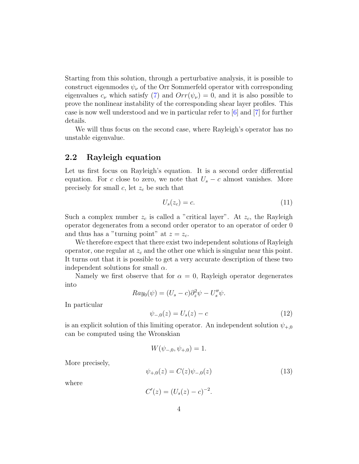Starting from this solution, through a perturbative analysis, it is possible to construct eigenmodes  $\psi_{\nu}$  of the Orr Sommerfeld operator with corresponding eigenvalues  $c_{\nu}$  which satisfy [\(7\)](#page-2-2) and  $Orr(\psi_{\nu}) = 0$ , and it is also possible to prove the nonlinear instability of the corresponding shear layer profiles. This case is now well understood and we in particular refer to [\[6\]](#page-24-4) and [\[7\]](#page-24-5) for further details.

We will thus focus on the second case, where Rayleigh's operator has no unstable eigenvalue.

## 2.2 Rayleigh equation

Let us first focus on Rayleigh's equation. It is a second order differential equation. For c close to zero, we note that  $U_s - c$  almost vanishes. More precisely for small c, let  $z_c$  be such that

$$
U_s(z_c) = c.\t\t(11)
$$

Such a complex number  $z_c$  is called a "critical layer". At  $z_c$ , the Rayleigh operator degenerates from a second order operator to an operator of order 0 and thus has a "turning point" at  $z = z_c$ .

We therefore expect that there exist two independent solutions of Rayleigh operator, one regular at  $z_c$  and the other one which is singular near this point. It turns out that it is possible to get a very accurate description of these two independent solutions for small  $\alpha$ .

Namely we first observe that for  $\alpha = 0$ , Rayleigh operator degenerates into

$$
Ray_0(\psi) = (U_s - c)\partial_z^2 \psi - U_s'' \psi.
$$

In particular

$$
\psi_{-,0}(z) = U_s(z) - c \tag{12}
$$

is an explicit solution of this limiting operator. An independent solution  $\psi_{+,0}$ can be computed using the Wronskian

$$
W(\psi_{-,0}, \psi_{+,0}) = 1.
$$

More precisely,

$$
\psi_{+,0}(z) = C(z)\psi_{-,0}(z) \tag{13}
$$

where

$$
C'(z) = (U_s(z) - c)^{-2}.
$$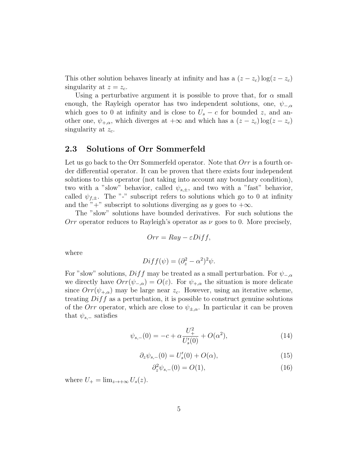This other solution behaves linearly at infinity and has a  $(z - z_c) \log(z - z_c)$ singularity at  $z = z_c$ .

Using a perturbative argument it is possible to prove that, for  $\alpha$  small enough, the Rayleigh operator has two independent solutions, one,  $\psi_{-\alpha}$ which goes to 0 at infinity and is close to  $U_s - c$  for bounded z, and another one,  $\psi_{+,\alpha}$ , which diverges at  $+\infty$  and which has a  $(z - z_c) \log(z - z_c)$ singularity at  $z_c$ .

## <span id="page-4-0"></span>2.3 Solutions of Orr Sommerfeld

Let us go back to the Orr Sommerfeld operator. Note that  $Orr$  is a fourth order differential operator. It can be proven that there exists four independent solutions to this operator (not taking into account any boundary condition), two with a "slow" behavior, called  $\psi_{s,\pm}$ , and two with a "fast" behavior, called  $\psi_{f,\pm}$ . The "-" subscript refers to solutions which go to 0 at infinity and the "+" subscript to solutions diverging as y goes to  $+\infty$ .

The "slow" solutions have bounded derivatives. For such solutions the Orr operator reduces to Rayleigh's operator as  $\nu$  goes to 0. More precisely,

$$
Orr = Ray - \varepsilon Diff,
$$

where

$$
Diff(\psi) = (\partial_z^2 - \alpha^2)^2 \psi.
$$

For "slow" solutions,  $Diff$  may be treated as a small perturbation. For  $\psi_{-\alpha}$ we directly have  $Orr(\psi_{-\alpha}) = O(\varepsilon)$ . For  $\psi_{+\alpha}$  the situation is more delicate since  $Orr(\psi_{+\alpha})$  may be large near  $z_c$ . However, using an iterative scheme, treating  $Diff$  as a perturbation, it is possible to construct genuine solutions of the Orr operator, which are close to  $\psi_{\pm,\alpha}$ . In particular it can be proven that  $\psi_{s,-}$  satisfies

$$
\psi_{s,-}(0) = -c + \alpha \frac{U_+^2}{U_s'(0)} + O(\alpha^2),\tag{14}
$$

$$
\partial_z \psi_{s,-}(0) = U'_s(0) + O(\alpha),\tag{15}
$$

$$
\partial_z^2 \psi_{s,-}(0) = O(1),\tag{16}
$$

where  $U_+ = \lim_{z \to +\infty} U_s(z)$ .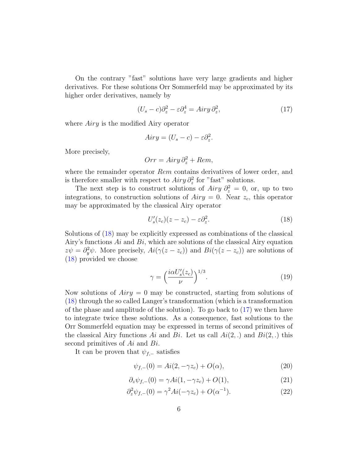On the contrary "fast" solutions have very large gradients and higher derivatives. For these solutions Orr Sommerfeld may be approximated by its higher order derivatives, namely by

<span id="page-5-1"></span>
$$
(U_s - c)\partial_z^2 - \varepsilon \partial_z^4 = Airy \partial_z^2, \tag{17}
$$

where *Airy* is the modified Airy operator

$$
Airy = (U_s - c) - \varepsilon \partial_z^2.
$$

More precisely,

$$
Orr = Airy \, \partial_z^2 + Rem,
$$

where the remainder operator Rem contains derivatives of lower order, and is therefore smaller with respect to  $Airy \partial_z^2$  for "fast" solutions.

The next step is to construct solutions of  $Airy \partial_z^2 = 0$ , or, up to two integrations, to construction solutions of  $Airy = 0$ . Near  $z_c$ , this operator may be approximated by the classical Airy operator

<span id="page-5-0"></span>
$$
U_s'(z_c)(z-z_c) - \varepsilon \partial_z^2. \tag{18}
$$

Solutions of [\(18\)](#page-5-0) may be explicitly expressed as combinations of the classical Airy's functions  $Ai$  and  $Bi$ , which are solutions of the classical Airy equation  $z\psi = \partial_y^2\psi$ . More precisely,  $Ai(\gamma(z - z_c))$  and  $Bi(\gamma(z - z_c))$  are solutions of [\(18\)](#page-5-0) provided we choose

$$
\gamma = \left(\frac{i\alpha U_s'(z_c)}{\nu}\right)^{1/3}.\tag{19}
$$

Now solutions of  $Airy = 0$  may be constructed, starting from solutions of [\(18\)](#page-5-0) through the so called Langer's transformation (which is a transformation of the phase and amplitude of the solution). To go back to  $(17)$  we then have to integrate twice these solutions. As a consequence, fast solutions to the Orr Sommerfeld equation may be expressed in terms of second primitives of the classical Airy functions Ai and Bi. Let us call  $Ai(2,.)$  and  $Bi(2,.)$  this second primitives of  $Ai$  and  $Bi$ .

It can be proven that  $\psi_{f,-}$  satisfies

$$
\psi_{f,-}(0) = Ai(2, -\gamma z_c) + O(\alpha), \tag{20}
$$

$$
\partial_z \psi_{f,-}(0) = \gamma Ai(1, -\gamma z_c) + O(1), \qquad (21)
$$

$$
\partial_z^2 \psi_{f,-}(0) = \gamma^2 Ai(-\gamma z_c) + O(\alpha^{-1}). \tag{22}
$$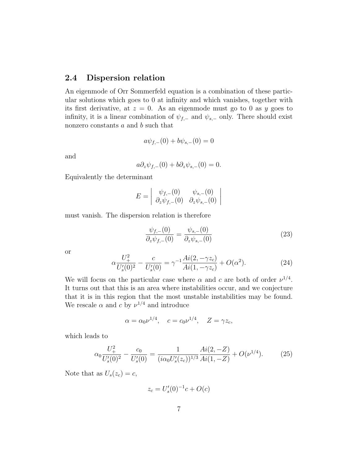# 2.4 Dispersion relation

An eigenmode of Orr Sommerfeld equation is a combination of these particular solutions which goes to 0 at infinity and which vanishes, together with its first derivative, at  $z = 0$ . As an eigenmode must go to 0 as y goes to infinity, it is a linear combination of  $\psi_{f,-}$  and  $\psi_{s,-}$  only. There should exist nonzero constants  $a$  and  $b$  such that

$$
a\psi_{f,-}(0) + b\psi_{s,-}(0) = 0
$$

and

$$
a\partial_z\psi_{f,-}(0) + b\partial_z\psi_{s,-}(0) = 0.
$$

Equivalently the determinant

$$
E = \begin{vmatrix} \psi_{f,-}(0) & \psi_{s,-}(0) \\ \partial_z \psi_{f,-}(0) & \partial_z \psi_{s,-}(0) \end{vmatrix}
$$

must vanish. The dispersion relation is therefore

<span id="page-6-0"></span>
$$
\frac{\psi_{f,-}(0)}{\partial_z \psi_{f,-}(0)} = \frac{\psi_{s,-}(0)}{\partial_z \psi_{s,-}(0)}\tag{23}
$$

or

$$
\alpha \frac{U_+^2}{U_s'(0)^2} - \frac{c}{U_s'(0)} = \gamma^{-1} \frac{Ai(2, -\gamma z_c)}{Ai(1, -\gamma z_c)} + O(\alpha^2). \tag{24}
$$

We will focus on the particular case where  $\alpha$  and  $c$  are both of order  $\nu^{1/4}$ . It turns out that this is an area where instabilities occur, and we conjecture that it is in this region that the most unstable instabilities may be found. We rescale  $\alpha$  and c by  $\nu^{1/4}$  and introduce

$$
\alpha = \alpha_0 \nu^{1/4}, \quad c = c_0 \nu^{1/4}, \quad Z = \gamma z_c,
$$

which leads to

$$
\alpha_0 \frac{U_+^2}{U_s'(0)^2} - \frac{c_0}{U_s'(0)} = \frac{1}{(i\alpha_0 U_s'(z_c))^{1/3}} \frac{Ai(2, -Z)}{Ai(1, -Z)} + O(\nu^{1/4}).\tag{25}
$$

Note that as  $U_s(z_c) = c$ ,

$$
z_c = U_s'(0)^{-1}c + O(c)
$$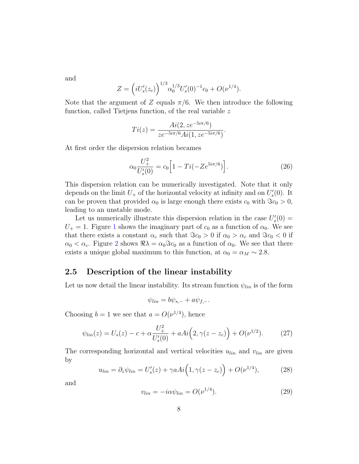and

$$
Z = \left( iU_s'(z_c) \right)^{1/3} \alpha_0^{1/3} U_s'(0)^{-1} c_0 + O(\nu^{1/4}).
$$

Note that the argument of Z equals  $\pi/6$ . We then introduce the following function, called Tietjens function, of the real variable z

$$
Ti(z) = \frac{Ai(2, z e^{-5i\pi/6})}{z e^{-5i\pi/6} Ai(1, z e^{-5i\pi/6})}.
$$

At first order the dispersion relation becames

$$
\alpha_0 \frac{U_+^2}{U_s'(0)} = c_0 \Big[ 1 - Ti(-Ze^{5i\pi/6}) \Big]. \tag{26}
$$

This dispersion relation can be numerically investigated. Note that it only depends on the limit  $U_{+}$  of the horizontal velocity at infinity and on  $U'_{s}(0)$ . It can be proven that provided  $\alpha_0$  is large enough there exists  $c_0$  with  $\Im c_0 > 0$ , leading to an unstable mode.

Let us numerically illustrate this dispersion relation in the case  $U_s'(0) =$  $U_+ = 1$  $U_+ = 1$ . Figure 1 shows the imaginary part of  $c_0$  as a function of  $\alpha_0$ . We see that there exists a constant  $\alpha_c$  such that  $\Im c_0 > 0$  if  $\alpha_0 > \alpha_c$  and  $\Im c_0 < 0$  if  $\alpha_0 < \alpha_c$ . Figure [2](#page-8-1) shows  $\Re \lambda = \alpha_0 \Im c_0$  as a function of  $\alpha_0$ . We see that there exists a unique global maximum to this function, at  $\alpha_0 = \alpha_M \sim 2.8$ .

## 2.5 Description of the linear instability

Let us now detail the linear instability. Its stream function  $\psi_{lin}$  is of the form

$$
\psi_{lin} = b\psi_{s,-} + a\psi_{f,-}.
$$

Choosing  $b = 1$  we see that  $a = O(\nu^{1/4})$ , hence

$$
\psi_{lin}(z) = U_s(z) - c + \alpha \frac{U_+^2}{U_s'(0)} + aAi\Big(2, \gamma(z - z_c)\Big) + O(\nu^{1/2}).\tag{27}
$$

The corresponding horizontal and vertical velocities  $u_{lin}$  and  $v_{lin}$  are given by

<span id="page-7-0"></span>
$$
u_{lin} = \partial_z \psi_{lin} = U'_s(z) + \gamma a Ai\Big(1, \gamma(z - z_c)\Big) + O(\nu^{1/4}),\tag{28}
$$

and

$$
v_{lin} = -i\alpha \psi_{lin} = O(\nu^{1/4}).\tag{29}
$$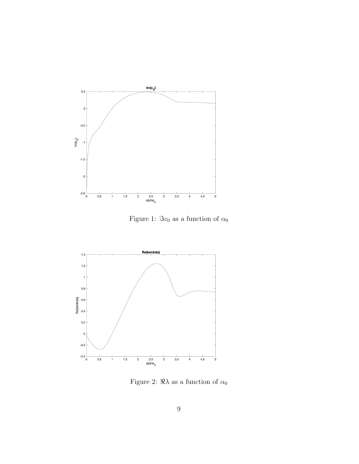

<span id="page-8-0"></span>Figure 1:  $\Im c_0$  as a function of  $\alpha_0$ 



<span id="page-8-1"></span>Figure 2:  $\Re \lambda$  as a function of  $\alpha_0$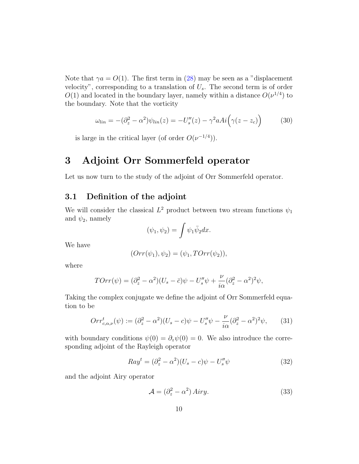Note that  $\gamma a = O(1)$ . The first term in [\(28\)](#page-7-0) may be seen as a "displacement" velocity", corresponding to a translation of  $U_s$ . The second term is of order  $O(1)$  and located in the boundary layer, namely within a distance  $O(\nu^{1/4})$  to the boundary. Note that the vorticity

$$
\omega_{lin} = -(\partial_z^2 - \alpha^2)\psi_{lin}(z) = -U_s''(z) - \gamma^2 a Ai\left(\gamma(z - z_c)\right) \tag{30}
$$

is large in the critical layer (of order  $O(\nu^{-1/4})$ ).

# 3 Adjoint Orr Sommerfeld operator

Let us now turn to the study of the adjoint of Orr Sommerfeld operator.

## 3.1 Definition of the adjoint

We will consider the classical  $L^2$  product between two stream functions  $\psi_1$ and  $\psi_2$ , namely

$$
(\psi_1, \psi_2) = \int \psi_1 \bar{\psi}_2 dx.
$$

We have

$$
(Orr(\psi_1), \psi_2) = (\psi_1, TOrr(\psi_2)),
$$

where

$$
TOTr(\psi) = (\partial_z^2 - \alpha^2)(U_s - \bar{c})\psi - U_s''\psi + \frac{\nu}{i\alpha}(\partial_z^2 - \alpha^2)^2\psi,
$$

Taking the complex conjugate we define the adjoint of Orr Sommerfeld equation to be

$$
Orr_{c,\alpha,\nu}^{t}(\psi) := (\partial_{z}^{2} - \alpha^{2})(U_{s} - c)\psi - U_{s}''\psi - \frac{\nu}{i\alpha}(\partial_{z}^{2} - \alpha^{2})^{2}\psi, \qquad (31)
$$

with boundary conditions  $\psi(0) = \partial_z \psi(0) = 0$ . We also introduce the corresponding adjoint of the Rayleigh operator

$$
Ray^{t} = (\partial_z^2 - \alpha^2)(U_s - c)\psi - U_s''\psi
$$
\n(32)

and the adjoint Airy operator

$$
\mathcal{A} = (\partial_z^2 - \alpha^2) Airy.
$$
 (33)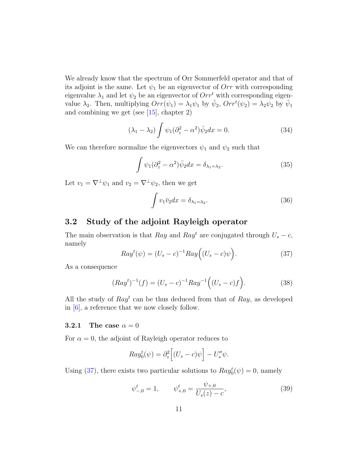We already know that the spectrum of Orr Sommerfeld operator and that of its adjoint is the same. Let  $\psi_1$  be an eigenvector of Orr with corresponding eigenvalue  $\lambda_1$  and let  $\psi_2$  be an eigenvector of  $Orr^t$  with corresponding eigenvalue  $\lambda_2$ . Then, multiplying  $Orr(\psi_1) = \lambda_1 \psi_1$  by  $\bar{\psi}_2$ ,  $Orr^t(\psi_2) = \lambda_2 \psi_2$  by  $\bar{\psi}_1$ and combining we get (see [\[15\]](#page-25-8), chapter 2)

$$
(\lambda_1 - \lambda_2) \int \psi_1 (\partial_z^2 - \alpha^2) \bar{\psi}_2 dx = 0.
$$
 (34)

We can therefore normalize the eigenvectors  $\psi_1$  and  $\psi_2$  such that

$$
\int \psi_1(\partial_z^2 - \alpha^2)\bar{\psi}_2 dx = \delta_{\lambda_1 = \lambda_2}.
$$
\n(35)

Let  $v_1 = \nabla^{\perp} \psi_1$  and  $v_2 = \nabla^{\perp} \psi_2$ , then we get

$$
\int v_1 \bar{v}_2 dx = \delta_{\lambda_1 = \lambda_2}.\tag{36}
$$

## 3.2 Study of the adjoint Rayleigh operator

The main observation is that Ray and Ray<sup>t</sup> are conjugated through  $U_s - c$ , namely

<span id="page-10-0"></span>
$$
Rayt(\psi) = (Us - c)-1 Ray((Us - c)\psi).
$$
 (37)

As a consequence

<span id="page-10-1"></span>
$$
(Rayt)-1(f) = (Us - c)-1Ray-1 ((Us - c)f).
$$
 (38)

All the study of  $Ray<sup>t</sup>$  can be thus deduced from that of  $Ray$ , as developed in [\[6\]](#page-24-4), a reference that we now closely follow.

#### 3.2.1 The case  $\alpha = 0$

For  $\alpha = 0$ , the adjoint of Rayleigh operator reduces to

$$
Ray_0^t(\psi) = \partial_z^2 \Big[ (U_s - c)\psi \Big] - U_s'' \psi.
$$

Using [\(37\)](#page-10-0), there exists two particular solutions to  $Ray_0^t(\psi) = 0$ , namely

$$
\psi_{-,0}^t = 1, \qquad \psi_{+,0}^t = \frac{\psi_{+,0}}{U_s(z) - c}, \tag{39}
$$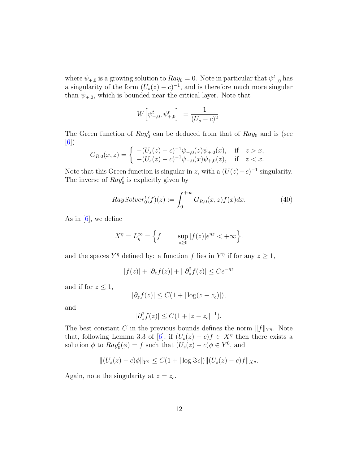where  $\psi_{+,0}$  is a growing solution to  $Ray_0 = 0$ . Note in particular that  $\psi_{+,0}^t$  has a singularity of the form  $(U_s(z) - c)^{-1}$ , and is therefore much more singular than  $\psi_{+,0}$ , which is bounded near the critical layer. Note that

$$
W\Big[\psi^t_{-,0},\psi^t_{+,0}\Big] = \frac{1}{(U_s - c)^2}.
$$

The Green function of  $Ray_0^t$  can be deduced from that of  $Ray_0$  and is (see [\[6\]](#page-24-4))

$$
G_{R,0}(x,z) = \begin{cases} -(U_s(z) - c)^{-1} \psi_{-,0}(z) \psi_{+,0}(x), & \text{if } z > x, \\ -(U_s(z) - c)^{-1} \psi_{-,0}(x) \psi_{+,0}(z), & \text{if } z < x. \end{cases}
$$

Note that this Green function is singular in z, with a  $(U(z) - c)^{-1}$  singularity. The inverse of  $Ray_0^t$  is explicitly given by

$$
RaySolver_0^t(f)(z) := \int_0^{+\infty} G_{R,0}(x,z)f(x)dx.
$$
 (40)

As in  $[6]$ , we define

$$
X^{\eta} = L_{\eta}^{\infty} = \left\{ f \quad | \quad \sup_{z \ge 0} |f(z)|e^{\eta z} < +\infty \right\}.
$$

and the spaces  $Y^{\eta}$  defined by: a function f lies in  $Y^{\eta}$  if for any  $z \geq 1$ ,

$$
|f(z)| + |\partial_z f(z)| + |\partial_z^2 f(z)| \le Ce^{-\eta z}
$$

and if for  $z \leq 1$ ,

$$
|\partial_z f(z)| \le C(1 + |\log(z - z_c)|),
$$

and

$$
|\partial_z^2 f(z)| \le C(1+|z-z_c|^{-1}).
$$

The best constant C in the previous bounds defines the norm  $||f||_{Y^{\eta}}$ . Note that, following Lemma 3.3 of [\[6\]](#page-24-4), if  $(U_s(z) - c)f \in X^{\eta}$  then there exists a solution  $\phi$  to  $Ray_0^t(\phi) = f$  such that  $(U_s(z) - c)\phi \in Y^0$ , and

$$
||(U_s(z) - c)\phi||_{Y^0} \le C(1 + |\log \Im c|)||(U_s(z) - c)f||_{X^{\eta}}.
$$

Again, note the singularity at  $z = z_c$ .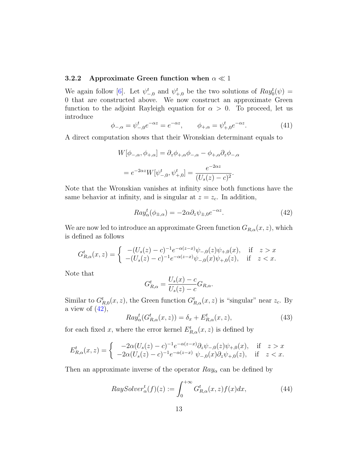#### 3.2.2 Approximate Green function when  $\alpha \ll 1$

We again follow [\[6\]](#page-24-4). Let  $\psi_{-,0}^t$  and  $\psi_{+,0}^t$  be the two solutions of  $Ray_0^t(\psi) =$ 0 that are constructed above. We now construct an approximate Green function to the adjoint Rayleigh equation for  $\alpha > 0$ . To proceed, let us introduce

$$
\phi_{-,\alpha} = \psi_{-,0}^t e^{-\alpha z} = e^{-\alpha z}, \qquad \phi_{+,\alpha} = \psi_{+,0}^t e^{-\alpha z}.
$$
 (41)

A direct computation shows that their Wronskian determinant equals to

$$
W[\phi_{-,\alpha}, \phi_{+,\alpha}] = \partial_z \phi_{+,\alpha} \phi_{-,\alpha} - \phi_{+,\alpha} \partial_z \phi_{-,\alpha}
$$

$$
= e^{-2\alpha z} W[\psi_{-,0}^t, \psi_{+,0}^t] = \frac{e^{-2\alpha z}}{(U_s(z) - c)^2}.
$$

Note that the Wronskian vanishes at infinity since both functions have the same behavior at infinity, and is singular at  $z = z_c$ . In addition,

<span id="page-12-0"></span>
$$
Ray_{\alpha}^{t}(\phi_{\pm,\alpha}) = -2\alpha \partial_{z}\psi_{\pm,0}e^{-\alpha z}.
$$
\n(42)

We are now led to introduce an approximate Green function  $G_{R,\alpha}(x, z)$ , which is defined as follows

$$
G_{R,\alpha}^t(x,z) = \begin{cases} -(U_s(z) - c)^{-1} e^{-\alpha(z-x)} \psi_{-,0}(z) \psi_{+,0}(x), & \text{if } z > x \\ -(U_s(z) - c)^{-1} e^{-\alpha(z-x)} \psi_{-,0}(x) \psi_{+,0}(z), & \text{if } z < x. \end{cases}
$$

Note that

$$
G_{R,\alpha}^{t} = \frac{U_s(x) - c}{U_s(z) - c} G_{R,\alpha}.
$$

Similar to  $G_{R,0}^t(x, z)$ , the Green function  $G_{R,\alpha}^t(x, z)$  is "singular" near  $z_c$ . By a view of  $(42)$ ,

$$
Ray^t_{\alpha}(G_{R,\alpha}^t(x,z)) = \delta_x + E_{R,\alpha}^t(x,z), \qquad (43)
$$

for each fixed x, where the error kernel  $E_{R,\alpha}^{t}(x, z)$  is defined by

$$
E_{R,\alpha}^t(x,z) = \begin{cases} -2\alpha (U_s(z) - c)^{-1} e^{-\alpha(z-x)} \partial_z \psi_{-,0}(z) \psi_{+,0}(x), & \text{if } z > x \\ -2\alpha (U_s(z) - c)^{-1} e^{-\alpha(z-x)} \ \psi_{-,0}(x) \partial_z \psi_{+,0}(z), & \text{if } z < x. \end{cases}
$$

Then an approximate inverse of the operator  $Ray_{\alpha}$  can be defined by

$$
RaySolver_{\alpha}^{t}(f)(z) := \int_{0}^{+\infty} G_{R,\alpha}^{t}(x,z) f(x) dx,
$$
\n(44)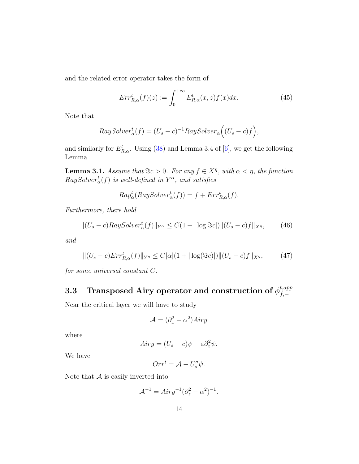and the related error operator takes the form of

$$
Err_{R,\alpha}^t(f)(z) := \int_0^{+\infty} E_{R,\alpha}^t(x,z) f(x) dx.
$$
 (45)

Note that

$$
RaySolver_{\alpha}^{t}(f) = (U_{s} - c)^{-1}RaySolver_{\alpha}((U_{s} - c)f),
$$

and similarly for  $E_{R,\alpha}^t$ . Using [\(38\)](#page-10-1) and Lemma 3.4 of [\[6\]](#page-24-4), we get the following Lemma.

**Lemma 3.1.** Assume that  $\Im c > 0$ . For any  $f \in X^{\eta}$ , with  $\alpha < \eta$ , the function  $RaySolver^t_{\alpha}(f)$  is well-defined in  $Y^{\alpha}$ , and satisfies

$$
Ray_{\alpha}^{t}(RaySolver_{\alpha}^{t}(f)) = f + Err_{R,\alpha}^{t}(f).
$$

Furthermore, there hold

$$
||(U_s - c)RaySolver^t_{\alpha}(f)||_{Y^{\alpha}} \le C(1 + |\log \Im c|) ||(U_s - c)f||_{X^{\eta}}, \qquad (46)
$$

and

$$
||(U_s - c)Err_{R,\alpha}^t(f)||_{Y^{\eta}} \le C|\alpha|(1 + |\log(\Im c)|)||(U_s - c)f||_{X^{\eta}}, \tag{47}
$$

for some universal constant C.

#### 3.3 Transposed Airy operator and construction of  $\phi^{t,app}_{f}$  $f,-$

Near the critical layer we will have to study

$$
\mathcal{A} = (\partial_z^2 - \alpha^2)Airy
$$

where

$$
Airy = (U_s - c)\psi - \varepsilon \partial_z^2 \psi.
$$

We have

$$
Orr^t = \mathcal{A} - U_s''\psi.
$$

Note that  $A$  is easily inverted into

$$
A^{-1} = Airy^{-1}(\partial_z^2 - \alpha^2)^{-1}.
$$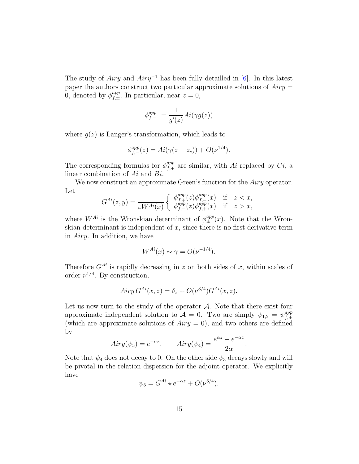The study of Airy and Airy<sup>-1</sup> has been fully detailled in [\[6\]](#page-24-4). In this latest paper the authors construct two particular approximate solutions of  $Airy =$ 0, denoted by  $\phi_{f,+}^{app}$  $f_{f,\pm}^{app}$ . In particular, near  $z=0$ ,

$$
\phi_{f,-}^{app} = \frac{1}{g'(z)}Ai(\gamma g(z))
$$

where  $g(z)$  is Langer's transformation, which leads to

$$
\phi_{f,-}^{app}(z) = Ai(\gamma(z - z_c)) + O(\nu^{1/4}).
$$

The corresponding formulas for  $\phi_{f,+}^{app}$  $f_{f,+}^{app}$  are similar, with Ai replaced by Ci, a linear combination of Ai and Bi.

We now construct an approximate Green's function for the Airy operator. Let

$$
G^{Ai}(z,y) = \frac{1}{\varepsilon W^{Ai}(x)} \begin{cases} \phi_{f,+}^{app}(z) \phi_{f,-}^{app}(x) & \text{if } z < x, \\ \phi_{f,-}^{app}(z) \phi_{f,+}^{app}(x) & \text{if } z > x, \end{cases}
$$

where  $W^{Ai}$  is the Wronskian determinant of  $\phi_{\pm}^{app}(x)$ . Note that the Wronskian determinant is independent of  $x$ , since there is no first derivative term in Airy. In addition, we have

$$
W^{Ai}(x) \sim \gamma = O(\nu^{-1/4}).
$$

Therefore  $G^{Ai}$  is rapidly decreasing in z on both sides of x, within scales of order  $\nu^{1/4}$ . By construction,

$$
Airy G^{Ai}(x, z) = \delta_x + O(\nu^{3/4}) G^{Ai}(x, z).
$$

Let us now turn to the study of the operator  $A$ . Note that there exist four approximate independent solution to  $\mathcal{A} = 0$ . Two are simply  $\psi_{1,2} = \psi_{f,\pm}^{app}$  $f,\pm$ (which are approximate solutions of  $Airy = 0$ ), and two others are defined by

$$
Airy(\psi_3) = e^{-\alpha z}, \qquad Airy(\psi_4) = \frac{e^{\alpha z} - e^{-\alpha z}}{2\alpha}.
$$

Note that  $\psi_4$  does not decay to 0. On the other side  $\psi_3$  decays slowly and will be pivotal in the relation dispersion for the adjoint operator. We explicitly have

$$
\psi_3 = G^{Ai} \star e^{-\alpha z} + O(\nu^{3/4}).
$$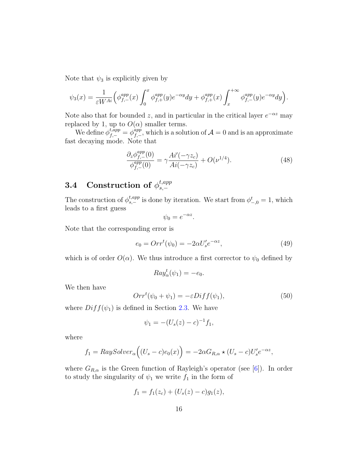Note that  $\psi_3$  is explicitly given by

$$
\psi_3(x) = \frac{1}{\varepsilon W^{Ai}} \Big( \phi_{f,-}^{app}(x) \int_0^x \phi_{f,+}^{app}(y) e^{-\alpha y} dy + \phi_{f,+}^{app}(x) \int_x^{+\infty} \phi_{f,-}^{app}(y) e^{-\alpha y} dy \Big).
$$

Note also that for bounded z, and in particular in the critical layer  $e^{-\alpha z}$  may replaced by 1, up to  $O(\alpha)$  smaller terms.

We define  $\phi_{f,-}^{t,app} = \phi_{f,-}^{app}$  $f_{f,-}^{app}$ , which is a solution of  $\mathcal{A} = 0$  and is an approximate fast decaying mode. Note that

$$
\frac{\partial_z \phi_{f,-}^{app}(0)}{\phi_{f,-}^{app}(0)} = \gamma \frac{Ai'(-\gamma z_c)}{Ai(-\gamma z_c)} + O(\nu^{1/4}).\tag{48}
$$

#### **3.4** Construction of  $\phi_{s,-}^{t,app}$ s,−

The construction of  $\phi_{s,-}^{t,app}$  is done by iteration. We start from  $\phi_{-,0}^t = 1$ , which leads to a first guess

$$
\psi_0 = e^{-\alpha z}.
$$

Note that the corresponding error is

$$
e_0 = Orr^t(\psi_0) = -2\alpha U_s' e^{-\alpha z},\tag{49}
$$

which is of order  $O(\alpha)$ . We thus introduce a first corrector to  $\psi_0$  defined by

$$
Ray_{\alpha}^{t}(\psi_1) = -e_0.
$$

We then have

$$
Orr^{t}(\psi_0 + \psi_1) = -\varepsilon Diff(\psi_1), \qquad (50)
$$

where  $Diff(\psi_1)$  is defined in Section [2.3.](#page-4-0) We have

$$
\psi_1 = -(U_s(z) - c)^{-1} f_1,
$$

where

$$
f_1 = RaySolver_{\alpha}((U_s - c)e_0(x)) = -2\alpha G_{R,\alpha} \star (U_s - c)U_s'e^{-\alpha z},
$$

where  $G_{R,\alpha}$  is the Green function of Rayleigh's operator (see [\[6\]](#page-24-4)). In order to study the singularity of  $\psi_1$  we write  $f_1$  in the form of

$$
f_1 = f_1(z_c) + (U_s(z) - c)g_1(z),
$$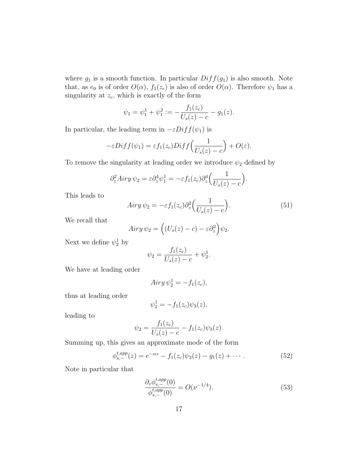where  $g_1$  is a smooth function. In particular  $Diff(g_1)$  is also smooth. Note that, as  $e_0$  is of order  $O(\alpha)$ ,  $f_1(z_c)$  is also of order  $O(\alpha)$ . Therefore  $\psi_1$  has a singularity at  $z_c$ , which is exactly of the form

$$
\psi_1 = \psi_1^1 + \psi_1^2 := -\frac{f_1(z_c)}{U_s(z) - c} - g_1(z).
$$

In particular, the leading term in  $-\varepsilon Diff(\psi_1)$  is

$$
-\varepsilon Diff(\psi_1) = \varepsilon f_1(z_c) Diff\left(\frac{1}{U_s(z) - c}\right) + O(\varepsilon).
$$

To remove the singularity at leading order we introduce  $\psi_2$  defined by

$$
\partial_z^2 Airy \psi_2 = \varepsilon \partial_z^4 \psi_1^1 = -\varepsilon f_1(z_c) \partial_z^4 \left( \frac{1}{U_s(z) - c} \right).
$$

This leads to

$$
Airy \psi_2 = -\varepsilon f_1(z_c) \partial_z^2 \left(\frac{1}{U_s(z) - c}\right). \tag{51}
$$

We recall that

$$
Airy \psi_2 = ((U_s(z) - c) - \varepsilon \partial_z^2) \psi_2.
$$

Next we define  $\psi_2^1$  by

$$
\psi_2 = \frac{f_1(z_c)}{U_s(z) - c} + \psi_2^1.
$$

We have at leading order

$$
Airy \,\psi_2^1 = -f_1(z_c),
$$

thus at leading order

$$
\psi_2^1 = -f_1(z_c)\psi_3(z),
$$

leading to

$$
\psi_2 = \frac{f_1(z_c)}{U_s(z) - c} - f_1(z_c)\psi_3(z).
$$

Summing up, this gives an approximate mode of the form

$$
\phi_{s,-}^{t,app}(z) = e^{-\alpha z} - f_1(z_c)\psi_3(z) - g_1(z) + \cdots \tag{52}
$$

Note in particular that

$$
\frac{\partial_z \phi_{s,-}^{t,app}(0)}{\phi_{s,-}^{t,app}(0)} = O(\nu^{-1/4}).\tag{53}
$$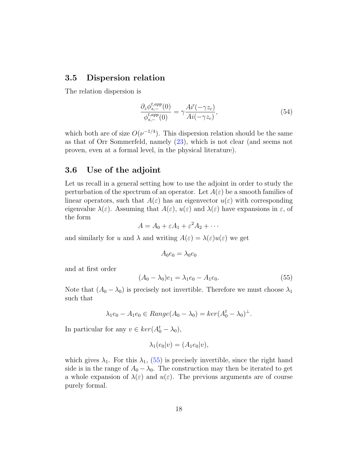### 3.5 Dispersion relation

The relation dispersion is

$$
\frac{\partial_z \phi_{s,-}^{t,app}(0)}{\phi_{s,-}^{t,app}(0)} = \gamma \frac{Ai'(-\gamma z_c)}{Ai(-\gamma z_c)},\tag{54}
$$

which both are of size  $O(\nu^{-1/4})$ . This dispersion relation should be the same as that of Orr Sommerfeld, namely [\(23\)](#page-6-0), which is not clear (and seems not proven, even at a formal level, in the physical literature).

## 3.6 Use of the adjoint

Let us recall in a general setting how to use the adjoint in order to study the perturbation of the spectrum of an operator. Let  $A(\varepsilon)$  be a smooth families of linear operators, such that  $A(\varepsilon)$  has an eigenvector  $u(\varepsilon)$  with corresponding eigenvalue  $\lambda(\varepsilon)$ . Assuming that  $A(\varepsilon)$ ,  $u(\varepsilon)$  and  $\lambda(\varepsilon)$  have expansions in  $\varepsilon$ , of the form

$$
A = A_0 + \varepsilon A_1 + \varepsilon^2 A_2 + \cdots
$$

and similarly for u and  $\lambda$  and writing  $A(\varepsilon) = \lambda(\varepsilon)u(\varepsilon)$  we get

$$
A_0e_0=\lambda_0e_0
$$

and at first order

<span id="page-17-0"></span>
$$
(A_0 - \lambda_0)e_1 = \lambda_1 e_0 - A_1 e_0. \tag{55}
$$

Note that  $(A_0 - \lambda_0)$  is precisely not invertible. Therefore we must choose  $\lambda_1$ such that

$$
\lambda_1 e_0 - A_1 e_0 \in Range(A_0 - \lambda_0) = ker(A_0^t - \lambda_0)^{\perp}.
$$

In particular for any  $v \in \text{ker}(A_0^t - \lambda_0)$ ,

$$
\lambda_1(e_0|v) = (A_1e_0|v),
$$

which gives  $\lambda_1$ . For this  $\lambda_1$ , [\(55\)](#page-17-0) is precisely invertible, since the right hand side is in the range of  $A_0 - \lambda_0$ . The construction may then be iterated to get a whole expansion of  $\lambda(\varepsilon)$  and  $u(\varepsilon)$ . The previous arguments are of course purely formal.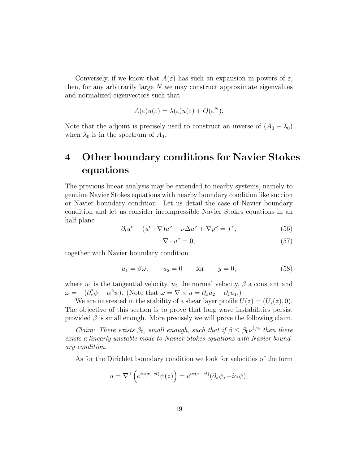Conversely, if we know that  $A(\varepsilon)$  has such an expansion in powers of  $\varepsilon$ , then, for any arbitrarily large  $N$  we may construct approximate eigenvalues and normalized eigenvectors such that

$$
A(\varepsilon)u(\varepsilon) = \lambda(\varepsilon)u(\varepsilon) + O(\varepsilon^N).
$$

Note that the adjoint is precisely used to construct an inverse of  $(A_0 - \lambda_0)$ when  $\lambda_0$  is in the spectrum of  $A_0$ .

# 4 Other boundary conditions for Navier Stokes equations

The previous linear analysis may be extended to nearby systems, namely to genuine Navier Stokes equations with nearby boundary condition like succion or Navier boundary condition. Let us detail the case of Navier boundary condition and let us consider incompressible Navier Stokes equations in an half plane

$$
\partial_t u^{\nu} + (u^{\nu} \cdot \nabla) u^{\nu} - \nu \Delta u^{\nu} + \nabla p^{\nu} = f^{\nu}, \tag{56}
$$

$$
\nabla \cdot u^{\nu} = 0,\tag{57}
$$

together with Navier boundary condition

<span id="page-18-0"></span>
$$
u_1 = \beta \omega, \qquad u_2 = 0 \qquad \text{for} \qquad y = 0,\tag{58}
$$

where  $u_1$  is the tangential velocity,  $u_2$  the normal velocity,  $\beta$  a constant and  $\omega = -(\partial_z^2 \psi - \alpha^2 \psi)$ . (Note that  $\omega = \nabla \times u = \partial_x u_2 - \partial_z u_1$ .)

We are interested in the stability of a shear layer profile  $U(z) = (U_s(z), 0)$ . The objective of this section is to prove that long wave instabilities persist provided  $\beta$  is small enough. More precisely we will prove the following claim.

*Claim: There exists*  $\beta_0$ , *small enough*, *such that if*  $\beta \leq \beta_0 \nu^{1/4}$  *then there* exists a linearly unstable mode to Navier Stokes equations with Navier boundary condition.

As for the Dirichlet boundary condition we look for velocities of the form

$$
u = \nabla^{\perp} \Big( e^{i\alpha(x-ct)} \psi(z) \Big) = e^{i\alpha(x-ct)} (\partial_z \psi, -i\alpha \psi),
$$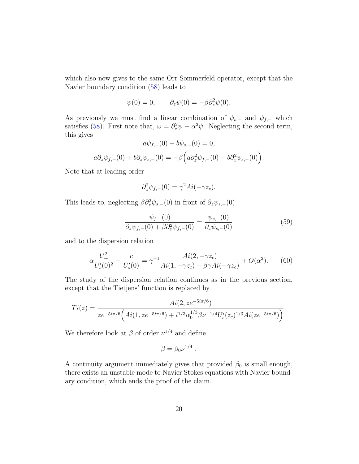which also now gives to the same Orr Sommerfeld operator, except that the Navier boundary condition [\(58\)](#page-18-0) leads to

$$
\psi(0) = 0, \qquad \partial_z \psi(0) = -\beta \partial_z^2 \psi(0).
$$

As previously we must find a linear combination of  $\psi_{s,-}$  and  $\psi_{f,-}$  which satisfies [\(58\)](#page-18-0). First note that,  $\omega = \partial_z^2 \psi - \alpha^2 \psi$ . Neglecting the second term, this gives  $\langle 0 \rangle + I \rangle = \langle 0 \rangle$ 

$$
a\psi_{f,-}(0) + b\psi_{s,-}(0) = 0,
$$
  
\n
$$
a\partial_z \psi_{f,-}(0) + b\partial_z \psi_{s,-}(0) = -\beta \Big( a\partial_z^2 \psi_{f,-}(0) + b\partial_z^2 \psi_{s,-}(0) \Big).
$$

Note that at leading order

$$
\partial_z^2 \psi_{f,-}(0) = \gamma^2 Ai(-\gamma z_c).
$$

This leads to, neglecting  $\beta \partial_z^2 \psi_{s,-}(0)$  in front of  $\partial_z \psi_{s,-}(0)$ 

$$
\frac{\psi_{f,-}(0)}{\partial_z \psi_{f,-}(0) + \beta \partial_z^2 \psi_{f,-}(0)} = \frac{\psi_{s,-}(0)}{\partial_z \psi_{s,-}(0)}\tag{59}
$$

and to the dispersion relation

$$
\alpha \frac{U_{+}^{2}}{U_{s}'(0)^{2}} - \frac{c}{U_{s}'(0)} = \gamma^{-1} \frac{Ai(2, -\gamma z_{c})}{Ai(1, -\gamma z_{c}) + \beta \gamma Ai(-\gamma z_{c})} + O(\alpha^{2}).
$$
 (60)

The study of the dispersion relation continues as in the previous section, except that the Tietjens' function is replaced by

$$
Ti(z) = \frac{Ai(2, z e^{-5i\pi/6})}{z e^{-5i\pi/6} \left( Ai(1, z e^{-5i\pi/6}) + i^{1/3} \alpha_0^{1/3} \beta \nu^{-1/4} U_s'(z_c)^{1/3} Ai(ze^{-5i\pi/6}) \right)}.
$$

We therefore look at  $\beta$  of order  $\nu^{1/4}$  and define

$$
\beta = \beta_0 \nu^{1/4} .
$$

A continuity argument immediately gives that provided  $\beta_0$  is small enough, there exists an unstable mode to Navier Stokes equations with Navier boundary condition, which ends the proof of the claim.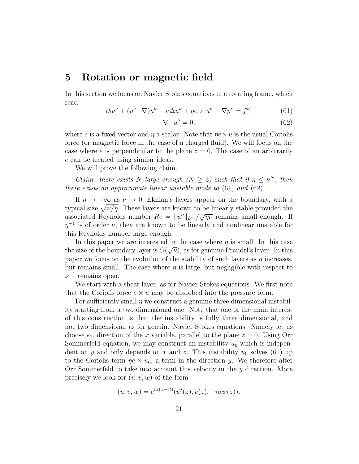## 5 Rotation or magnetic field

In this section we focus on Navier Stokes equations in a rotating frame, which read

<span id="page-20-0"></span>
$$
\partial_t u^{\nu} + (u^{\nu} \cdot \nabla) u^{\nu} - \nu \Delta u^{\nu} + \eta e \times u^{\nu} + \nabla p^{\nu} = f^{\nu}, \tag{61}
$$

<span id="page-20-1"></span>
$$
\nabla \cdot u^{\nu} = 0,\tag{62}
$$

where e is a fixed vector and  $\eta$  a scalar. Note that  $\eta e \times u$  is the usual Coriolis force (or magnetic force in the case of a charged fluid). We will focus on the case where e is perpendicular to the plane  $z = 0$ . The case of an arbitrarily e can be treated using similar ideas.

We will prove the following claim.

Claim: there exists N large enough  $(N \geq 3)$  such that if  $\eta \leq \nu^N$ , then there exists an approximate linear unstable mode to  $(61)$  and  $(62)$ .

If  $\eta \to +\infty$  as  $\nu \to 0$ , Ekman's layers appear on the boundary, with a typical size  $\sqrt{\nu/\eta}$ . These layers are known to be linearly stable provided the associated Reynolds number  $Re = ||u^{\nu}||_{L^{\infty}} / \sqrt{\eta \nu}$  remains small enough. If  $\eta^{-1}$  is of order  $\nu$ , they are known to be linearly and nonlinear unstable for this Reynolds number large enough.

In this paper we are interested in the case where  $\eta$  is small. In this case the size of the boundary layer is  $O(\sqrt{\nu})$ , as for genuine Prandtl's layer. In this paper we focus on the evolution of the stability of such layers as  $\eta$  increases, but remains small. The case where  $\eta$  is large, but negligible with respect to  $\nu^{-1}$  remains open.

We start with a shear layer, as for Navier Stokes equations. We first note that the Coriolis force  $e \times u$  may be absorbed into the pressure term.

For sufficiently small  $\eta$  we construct a genuine three dimensional instability starting from a two dimensional one. Note that one of the main interest of this construction is that the instability is fully three dimensional, and not two dimensional as for genuine Navier Stokes equations. Namely let us choose  $e_1$ , direction of the x variable, parallel to the plane  $z = 0$ . Using Orr Sommerfeld equation, we may construct an instability  $u_0$  which is independent on y and only depends on x and z. This instability  $u_0$  solves [\(61\)](#page-20-0) up to the Coriolis term  $\eta e \times u_0$ , a term in the direction y. We therefore alter Orr Sommerfeld to take into account this velocity in the  $y$  direction. More precisely we look for  $(u, v, w)$  of the form

$$
(u, v, w) = e^{i\alpha(x-ct)}(\psi'(z), v(z), -i\alpha\psi(z)).
$$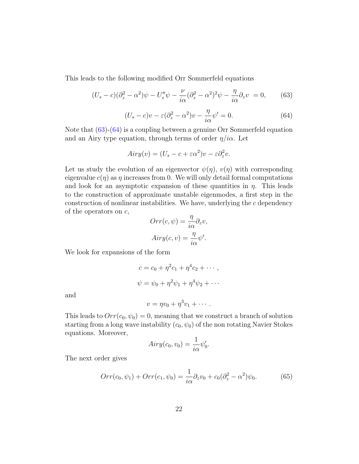This leads to the following modified Orr Sommerfeld equations

<span id="page-21-0"></span>
$$
(U_s - c)(\partial_z^2 - \alpha^2)\psi - U_s''\psi - \frac{\nu}{i\alpha}(\partial_z^2 - \alpha^2)^2\psi - \frac{\eta}{i\alpha}\partial_z v = 0, \qquad (63)
$$

<span id="page-21-1"></span>
$$
(U_s - c)v - \varepsilon (\partial_z^2 - \alpha^2)v - \frac{\eta}{i\alpha}\psi' = 0.
$$
\n(64)

Note that  $(63)-(64)$  $(63)-(64)$  $(63)-(64)$  is a coupling between a genuine Orr Sommerfeld equation and an Airy type equation, through terms of order  $\eta/i\alpha$ . Let

$$
Airy(v) = (U_s - c + \varepsilon \alpha^2)v - \varepsilon \partial_z^2 v.
$$

Let us study the evolution of an eigenvector  $\psi(\eta)$ ,  $v(\eta)$  with corresponding eigenvalue  $c(\eta)$  as  $\eta$  increases from 0. We will only detail formal computations and look for an asymptotic expansion of these quantities in  $\eta$ . This leads to the construction of approximate unstable eigenmodes, a first step in the construction of nonlinear instabilities. We have, underlying the  $c$  dependency of the operators on c,

$$
Orr(c, \psi) = \frac{\eta}{i\alpha} \partial_z v,
$$
  

$$
Airy(c, v) = \frac{\eta}{i\alpha} \psi'.
$$

We look for expansions of the form

$$
c = c_0 + \eta^2 c_1 + \eta^4 c_2 + \cdots ,
$$
  

$$
\psi = \psi_0 + \eta^2 \psi_1 + \eta^4 \psi_2 + \cdots
$$

and

$$
v = \eta v_0 + \eta^3 v_1 + \cdots.
$$

This leads to  $Orr(c_0, \psi_0) = 0$ , meaning that we construct a branch of solution starting from a long wave instability  $(c_0, \psi_0)$  of the non rotating Navier Stokes equations. Moreover,

$$
Airy(c_0, v_0) = \frac{1}{i\alpha}\psi'_0.
$$

The next order gives

<span id="page-21-2"></span>
$$
Orr(c_0, \psi_1) + Orr(c_1, \psi_0) = \frac{1}{i\alpha}\partial_z v_0 + c_0(\partial_z^2 - \alpha^2)\psi_0.
$$
 (65)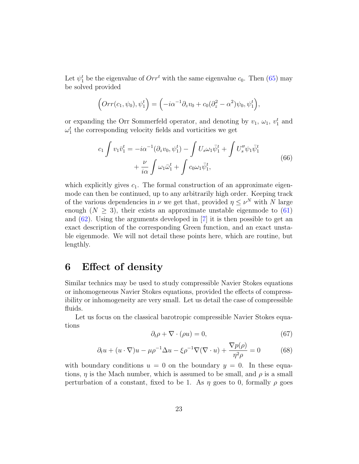Let  $\psi_1^t$  be the eigenvalue of  $Orr^t$  with the same eigenvalue  $c_0$ . Then [\(65\)](#page-21-2) may be solved provided

$$
\left(Orr(c_1,\psi_0),\psi_1^t\right) = \left(-i\alpha^{-1}\partial_z v_0 + c_0(\partial_z^2 - \alpha^2)\psi_0, \psi_1^t\right),\,
$$

or expanding the Orr Sommerfeld operator, and denoting by  $v_1, \omega_1, v_1^t$  and  $\omega_1^t$  the corresponding velocity fields and vorticities we get

$$
c_1 \int v_1 \bar{v}_1^t = -i\alpha^{-1} (\partial_z v_0, \psi_1^t) - \int U_s \omega_1 \bar{\psi}_1^t + \int U_s'' \psi_1 \bar{\psi}_1^t
$$
  
+ 
$$
\frac{\nu}{i\alpha} \int \omega_1 \bar{\omega}_1^t + \int c_0 \omega_1 \bar{\psi}_1^t,
$$
 (66)

which explicitly gives  $c_1$ . The formal construction of an approximate eigenmode can then be continued, up to any arbitrarily high order. Keeping track of the various dependencies in  $\nu$  we get that, provided  $\eta \leq \nu^N$  with N large enough  $(N > 3)$ , their exists an approximate unstable eigenmode to  $(61)$ and  $(62)$ . Using the arguments developed in [\[7\]](#page-24-5) it is then possible to get an exact description of the corresponding Green function, and an exact unstable eigenmode. We will not detail these points here, which are routine, but lengthly.

# 6 Effect of density

Similar technics may be used to study compressible Navier Stokes equations or inhomogeneous Navier Stokes equations, provided the effects of compressibility or inhomogeneity are very small. Let us detail the case of compressible fluids.

Let us focus on the classical barotropic compressible Navier Stokes equations

$$
\partial_t \rho + \nabla \cdot (\rho u) = 0,\tag{67}
$$

$$
\partial_t u + (u \cdot \nabla)u - \mu \rho^{-1} \Delta u - \xi \rho^{-1} \nabla (\nabla \cdot u) + \frac{\nabla p(\rho)}{\eta^2 \rho} = 0 \tag{68}
$$

with boundary conditions  $u = 0$  on the boundary  $y = 0$ . In these equations,  $\eta$  is the Mach number, which is assumed to be small, and  $\rho$  is a small perturbation of a constant, fixed to be 1. As  $\eta$  goes to 0, formally  $\rho$  goes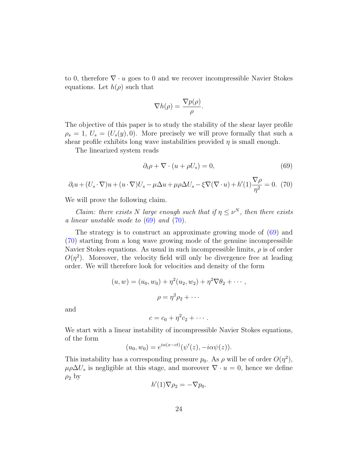to 0, therefore  $\nabla \cdot u$  goes to 0 and we recover incompressible Navier Stokes equations. Let  $h(\rho)$  such that

$$
\nabla h(\rho) = \frac{\nabla p(\rho)}{\rho}.
$$

The objective of this paper is to study the stability of the shear layer profile  $\rho_s = 1, U_s = (U_s(y), 0).$  More precisely we will prove formally that such a shear profile exhibits long wave instabilities provided  $\eta$  is small enough.

The linearized system reads

<span id="page-23-0"></span>
$$
\partial_t \rho + \nabla \cdot (u + \rho U_s) = 0,\tag{69}
$$

<span id="page-23-1"></span>
$$
\partial_t u + (U_s \cdot \nabla)u + (u \cdot \nabla)U_s - \mu \Delta u + \mu \rho \Delta U_s - \xi \nabla (\nabla \cdot u) + h'(1)\frac{\nabla \rho}{\eta^2} = 0. \tag{70}
$$

We will prove the following claim.

Claim: there exists N large enough such that if  $\eta \leq \nu^N$ , then there exists a linear unstable mode to [\(69\)](#page-23-0) and [\(70\)](#page-23-1).

The strategy is to construct an approximate growing mode of [\(69\)](#page-23-0) and [\(70\)](#page-23-1) starting from a long wave growing mode of the genuine incompressible Navier Stokes equations. As usual in such incompressible limits,  $\rho$  is of order  $O(\eta^2)$ . Moreover, the velocity field will only be divergence free at leading order. We will therefore look for velocities and density of the form

$$
(u, w) = (u_0, w_0) + \eta^2 (u_2, w_2) + \eta^2 \nabla \theta_2 + \cdots ,
$$

$$
\rho = \eta^2 \rho_2 + \cdots
$$

and

$$
c=c_0+\eta^2c_2+\cdots.
$$

We start with a linear instability of incompressible Navier Stokes equations, of the form

$$
(u_0, w_0) = e^{i\alpha(x-ct)}(\psi'(z), -i\alpha\psi(z)).
$$

This instability has a corresponding pressure  $p_0$ . As  $\rho$  will be of order  $O(\eta^2)$ ,  $\mu \rho \Delta U_s$  is negligible at this stage, and moreover  $\nabla \cdot u = 0$ , hence we define  $\rho_2$  by

$$
h'(1)\nabla \rho_2 = -\nabla p_0.
$$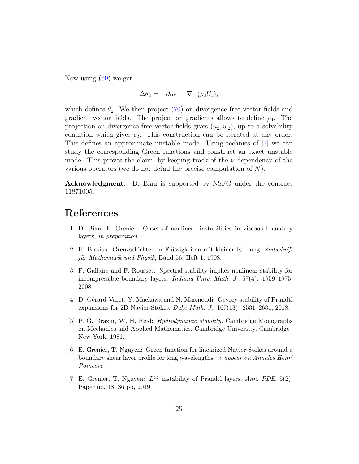Now using [\(69\)](#page-23-0) we get

$$
\Delta \theta_2 = -\partial_t \rho_2 - \nabla \cdot (\rho_2 U_s),
$$

which defines  $\theta_2$ . We then project [\(70\)](#page-23-1) on divergence free vector fields and gradient vector fields. The project on gradients allows to define  $\rho_4$ . The projection on divergence free vector fields gives  $(u_2, w_2)$ , up to a solvability condition which gives  $c_2$ . This construction can be iterated at any order. This defines an approximate unstable mode. Using technics of [\[7\]](#page-24-5) we can study the corresponding Green functions and construct an exact unstable mode. This proves the claim, by keeping track of the  $\nu$  dependency of the various operators (we do not detail the precise computation of N).

Acknowledgment. D. Bian is supported by NSFC under the contract 11871005.

# References

- <span id="page-24-6"></span>[1] D. Bian, E. Grenier: Onset of nonlinear instabilities in viscous boundary layers, in preparation.
- <span id="page-24-2"></span>[2] H. Blasius: Grenzschichten in Flüssigkeiten mit kleiner Reibung, Zeitschrift für Mathematik und Physik, Band 56, Heft 1, 1908.
- <span id="page-24-0"></span>[3] F. Gallaire and F. Rousset: Spectral stability implies nonlinear stability for incompressible boundary layers. Indiana Univ. Math. J., 57(4): 1959–1975, 2008.
- <span id="page-24-1"></span>[4] D. Gérard-Varet, Y. Maekawa and N. Masmoudi: Gevrey stability of Prandtl expansions for 2D Navier-Stokes. Duke Math. J., 167(13): 2531–2631, 2018.
- <span id="page-24-3"></span>[5] P. G. Drazin, W. H. Reid: Hydrodynamic stability. Cambridge Monographs on Mechanics and Applied Mathematics. Cambridge University, Cambridge– New York, 1981.
- <span id="page-24-4"></span>[6] E. Grenier, T. Nguyen: Green function for linearized Navier-Stokes around a boundary shear layer profile for long wavelengths, to appear on Annales Henri Poincaré.
- <span id="page-24-5"></span>[7] E. Grenier, T. Nguyen:  $L^{\infty}$  instability of Prandtl layers. Ann. PDE, 5(2), Paper no. 18, 36 pp, 2019.